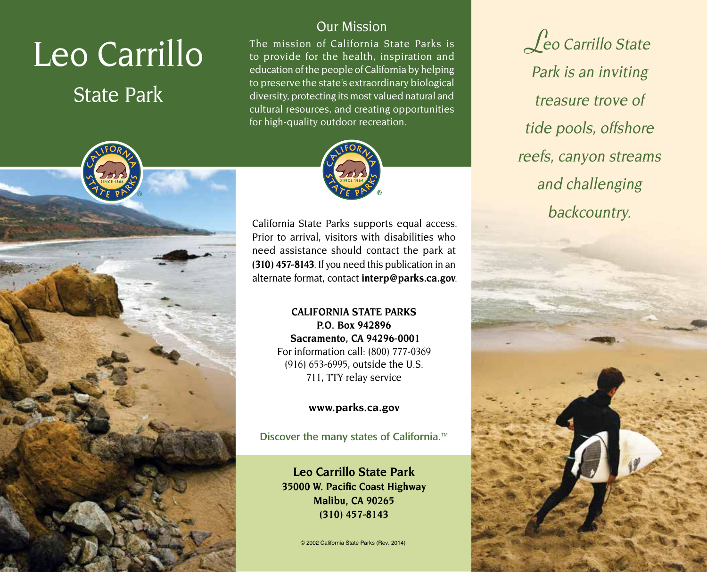# Leo Carrillo

# State Park



## Our Mission

The mission of California State Parks is to provide for the health, inspiration and education of the people of California by helping to preserve the state's extraordinary biological diversity, protecting its most valued natural and cultural resources, and creating opportunities for high-quality outdoor recreation.



California State Parks supports equal access. Prior to arrival, visitors with disabilities who need assistance should contact the park at **(310) 457-8143**. If you need this publication in an alternate format, contact **[interp@parks.ca.gov](mailto:interp@parks.ca.gov)**.

#### **CALIFORNIA STATE PARKS P.O. Box 942896 Sacramento, CA 94296-0001**  For information call: (800) 777-0369 (916) 653-6995, outside the U.S. 711, TTY relay service

**<www.parks.ca.gov>** 

Discover the many states of California.<sup>™</sup>

**Leo Carrillo State Park 35000 W. Pacifc Coast Highway Malibu, CA 90265 (310) 457-8143** 

© 2002 California State Parks (Rev. 2014)

**L**eo Carrillo State Park is an inviting treasure trove of tide pools, offshore reefs, canyon streams and challenging backcountry.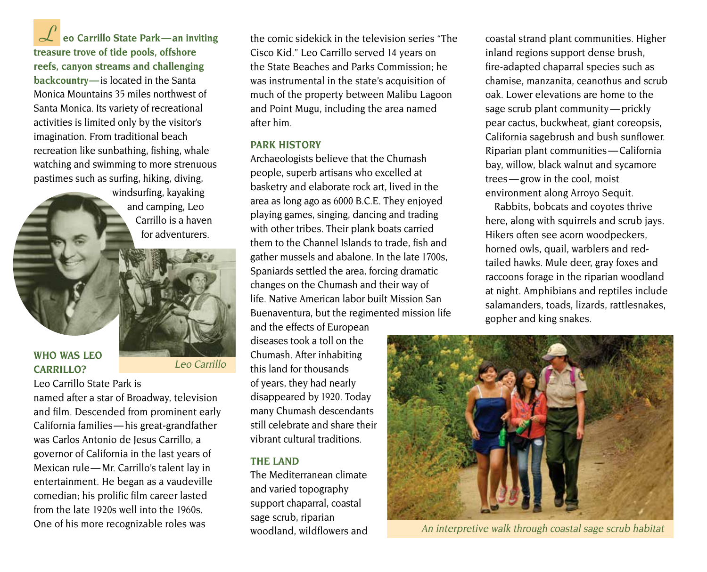**L eo Carrillo State Park—an inviting treasure trove of tide pools, offshore reefs, canyon streams and challenging backcountry—**is located in the Santa Monica Mountains 35 miles northwest of Santa Monica. Its variety of recreational activities is limited only by the visitor's imagination. From traditional beach recreation like sunbathing, fishing, whale watching and swimming to more strenuous pastimes such as surfing, hiking, diving,

> windsurfing, kayaking and camping, Leo Carrillo is a haven for adventurers.



#### **WHO WAS LEO CARRILLO?**

Leo Carrillo State Park is named after a star of Broadway, television and film. Descended from prominent early California families— his great-grandfather was Carlos Antonio de Jesus Carrillo, a governor of California in the last years of Mexican rule— Mr. Carrillo's talent lay in entertainment. He began as a vaudeville comedian; his prolific film career lasted from the late 1920s well into the 1960s. One of his more recognizable roles was

the comic sidekick in the television series "The Cisco Kid." Leo Carrillo served 14 years on the State Beaches and Parks Commission; he was instrumental in the state's acquisition of much of the property between Malibu Lagoon and Point Mugu, including the area named after him.

#### **PARK HISTORy**

Archaeologists believe that the Chumash people, superb artisans who excelled at basketry and elaborate rock art, lived in the area as long ago as 6000 B.C.E. They enjoyed playing games, singing, dancing and trading with other tribes. Their plank boats carried them to the Channel Islands to trade, fish and gather mussels and abalone. In the late 1700s, Spaniards settled the area, forcing dramatic changes on the Chumash and their way of life. Native American labor built Mission San Buenaventura, but the regimented mission life

and the effects of European diseases took a toll on the Chumash. After inhabiting this land for thousands of years, they had nearly disappeared by 1920. Today many Chumash descendants still celebrate and share their vibrant cultural traditions.

#### **THE LAND**

The Mediterranean climate and varied topography support chaparral, coastal sage scrub, riparian woodland, wildflowers and

 sage scrub plant community — prickly Riparian plant communities — California trees — grow in the cool, moist coastal strand plant communities. Higher inland regions support dense brush, fire-adapted chaparral species such as chamise, manzanita, ceanothus and scrub oak. Lower elevations are home to the pear cactus, buckwheat, giant coreopsis, California sagebrush and bush sunflower. bay, willow, black walnut and sycamore environment along Arroyo Sequit.

Rabbits, bobcats and coyotes thrive here, along with squirrels and scrub jays. Hikers often see acorn woodpeckers, horned owls, quail, warblers and redtailed hawks. Mule deer, gray foxes and raccoons forage in the riparian woodland at night. Amphibians and reptiles include salamanders, toads, lizards, rattlesnakes, gopher and king snakes.



An interpretive walk through coastal sage scrub habitat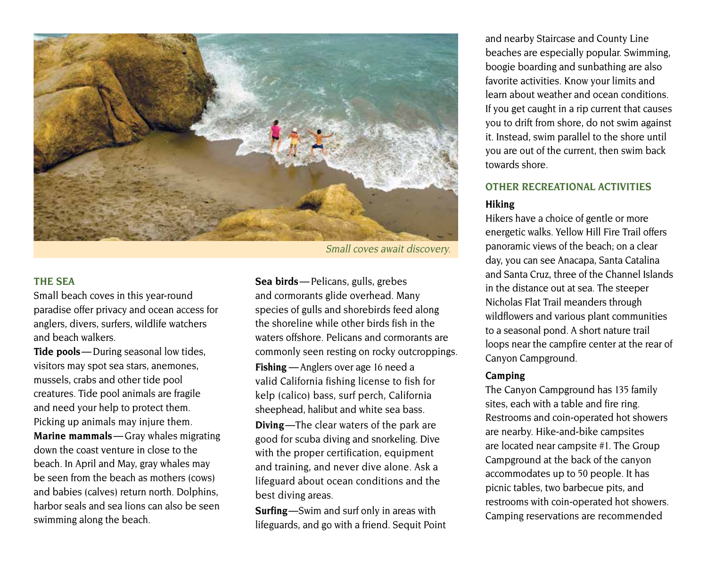

Small coves await discovery.

#### **THE SEA**

Small beach coves in this year-round paradise offer privacy and ocean access for anglers, divers, surfers, wildlife watchers and beach walkers.

Tide pools — During seasonal low tides, visitors may spot sea stars, anemones, mussels, crabs and other tide pool creatures. Tide pool animals are fragile and need your help to protect them. Picking up animals may injure them. **Marine mammals**— Gray whales migrating down the coast venture in close to the beach. In April and May, gray whales may be seen from the beach as mothers (cows) and babies (calves) return north. Dolphins, harbor seals and sea lions can also be seen swimming along the beach.

 **Sea birds**— Pelicans, gulls, grebes **Fishing** — Anglers over age 16 need a and cormorants glide overhead. Many species of gulls and shorebirds feed along the shoreline while other birds fish in the waters offshore. Pelicans and cormorants are commonly seen resting on rocky outcroppings. valid California fishing license to fish for

kelp (calico) bass, surf perch, California sheephead, halibut and white sea bass.

**Diving**—The clear waters of the park are good for scuba diving and snorkeling. Dive with the proper certification, equipment and training, and never dive alone. Ask a lifeguard about ocean conditions and the best diving areas.

**Surfing**—Swim and surf only in areas with lifeguards, and go with a friend. Sequit Point and nearby Staircase and County Line beaches are especially popular. Swimming, boogie boarding and sunbathing are also favorite activities. Know your limits and learn about weather and ocean conditions. If you get caught in a rip current that causes you to drift from shore, do not swim against it. Instead, swim parallel to the shore until you are out of the current, then swim back towards shore.

### **OTHER RECREATIONAL ACTIVITIES**

#### **Hiking**

Hikers have a choice of gentle or more energetic walks. Yellow Hill Fire Trail offers panoramic views of the beach; on a clear day, you can see Anacapa, Santa Catalina and Santa Cruz, three of the Channel Islands in the distance out at sea. The steeper Nicholas Flat Trail meanders through wildflowers and various plant communities to a seasonal pond. A short nature trail loops near the campfire center at the rear of Canyon Campground.

#### **Camping**

The Canyon Campground has 135 family sites, each with a table and fire ring. Restrooms and coin-operated hot showers are nearby. Hike-and-bike campsites are located near campsite #1. The Group Campground at the back of the canyon accommodates up to 50 people. It has picnic tables, two barbecue pits, and restrooms with coin-operated hot showers. Camping reservations are recommended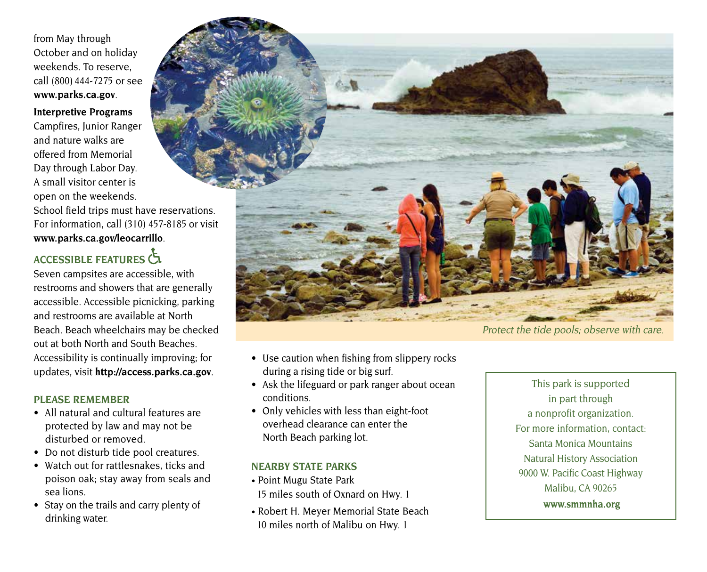from May through October and on holiday weekends. To reserve, call (800) 444-7275 or see **[www.parks.ca.gov](http://www.parks.ca.gov)**.

**Interpretive Programs** 

Campfires, Junior Ranger and nature walks are offered from Memorial Day through Labor Day. A small visitor center is open on the weekends.

School field trips must have reservations. For information, call (310) 457-8185 or visit **[www.parks.ca.gov/leocarrillo](http://www.parks.ca.gov/leocarrillo)**.

# **ACCESSIBLE FEATuRES**

Seven campsites are accessible, with restrooms and showers that are generally accessible. Accessible picnicking, parking and restrooms are available at North Beach. Beach wheelchairs may be checked out at both North and South Beaches. Accessibility is continually improving; for updates, visit **<http://access.parks.ca.gov>**.

#### **PLEASE REMEMBER**

- All natural and cultural features are protected by law and may not be disturbed or removed.
- Do not disturb tide pool creatures.
- Watch out for rattlesnakes, ticks and poison oak; stay away from seals and sea lions.
- Stay on the trails and carry plenty of drinking water.



- 
- Use caution when fishing from slippery rocks during a rising tide or big surf.
- Ask the lifeguard or park ranger about ocean conditions.
- Only vehicles with less than eight-foot overhead clearance can enter the North Beach parking lot.

#### **NEARBy STATE PARKS**

- Point Mugu State Park 15 miles south of Oxnard on Hwy. 1
- Robert H. Meyer Memorial State Beach 10 miles north of Malibu on Hwy. 1

This park is supported in part through a nonprofit organization. For more information, contact: Santa Monica Mountains Natural History Association 9000 W. Pacific Coast Highway Malibu, CA 90265 **<www.smmnha.org>**